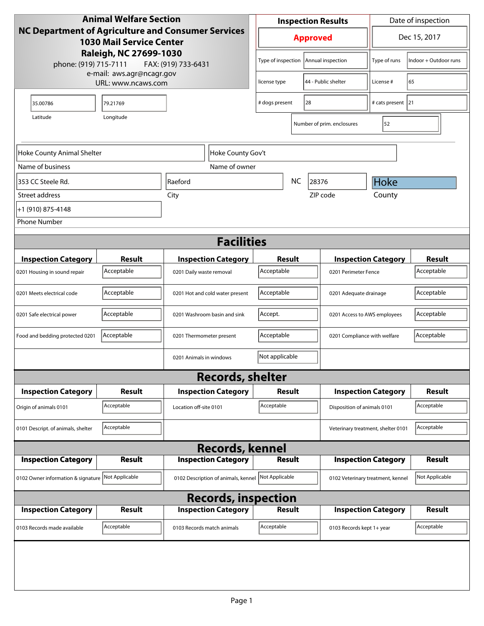| <b>Animal Welfare Section</b>                                                         |                                                 |                                     |                    | <b>Inspection Results</b>            |  |                              |                                    | Date of inspection         |                             |
|---------------------------------------------------------------------------------------|-------------------------------------------------|-------------------------------------|--------------------|--------------------------------------|--|------------------------------|------------------------------------|----------------------------|-----------------------------|
| NC Department of Agriculture and Consumer Services<br><b>1030 Mail Service Center</b> |                                                 |                                     |                    | <b>Approved</b>                      |  |                              |                                    | Dec 15, 2017               |                             |
| Raleigh, NC 27699-1030<br>phone: (919) 715-7111<br>FAX: (919) 733-6431                |                                                 |                                     | Type of inspection |                                      |  | Annual inspection            | Type of runs                       | Indoor + Outdoor runs      |                             |
|                                                                                       | e-mail: aws.agr@ncagr.gov<br>URL: www.ncaws.com |                                     |                    | license type                         |  |                              | 44 - Public shelter                | License #                  | 65                          |
| 35.00786                                                                              | 79.21769                                        |                                     |                    | # dogs present<br>28                 |  |                              |                                    | # cats present 21          |                             |
| Latitude<br>Longitude                                                                 |                                                 |                                     |                    |                                      |  |                              | Number of prim. enclosures         | 52                         |                             |
| Hoke County Gov't<br>Hoke County Animal Shelter                                       |                                                 |                                     |                    |                                      |  |                              |                                    |                            |                             |
| Name of business                                                                      |                                                 | Name of owner                       |                    |                                      |  |                              |                                    |                            |                             |
| 353 CC Steele Rd.                                                                     |                                                 | Raeford                             |                    | <b>NC</b><br>28376                   |  |                              | <b>Hoke</b>                        |                            |                             |
| Street address                                                                        |                                                 | City                                |                    |                                      |  |                              | ZIP code                           | County                     |                             |
| +1 (910) 875-4148                                                                     |                                                 |                                     |                    |                                      |  |                              |                                    |                            |                             |
| <b>Phone Number</b>                                                                   |                                                 |                                     |                    |                                      |  |                              |                                    |                            |                             |
|                                                                                       |                                                 | <b>Facilities</b>                   |                    |                                      |  |                              |                                    |                            |                             |
|                                                                                       |                                                 |                                     |                    |                                      |  |                              |                                    |                            |                             |
| <b>Inspection Category</b>                                                            | <b>Result</b><br>Acceptable                     | <b>Inspection Category</b>          |                    | Result<br>Acceptable                 |  |                              |                                    | <b>Inspection Category</b> | <b>Result</b><br>Acceptable |
| 0201 Housing in sound repair                                                          |                                                 | 0201 Daily waste removal            |                    |                                      |  |                              | 0201 Perimeter Fence               |                            |                             |
| 0201 Meets electrical code                                                            | Acceptable                                      | 0201 Hot and cold water present     |                    | Acceptable<br>0201 Adequate drainage |  |                              | Acceptable                         |                            |                             |
| 0201 Safe electrical power                                                            | Acceptable                                      | 0201 Washroom basin and sink        |                    | Accept.                              |  | 0201 Access to AWS employees |                                    | Acceptable                 |                             |
| Food and bedding protected 0201                                                       | Acceptable                                      | 0201 Thermometer present            |                    | Acceptable                           |  | 0201 Compliance with welfare |                                    | Acceptable                 |                             |
|                                                                                       |                                                 | 0201 Animals in windows             |                    | Not applicable                       |  |                              |                                    |                            |                             |
|                                                                                       |                                                 | <b>Records, shelter</b>             |                    |                                      |  |                              |                                    |                            |                             |
| <b>Inspection Category</b>                                                            | Result                                          | <b>Inspection Category</b>          |                    | Result                               |  |                              |                                    | <b>Inspection Category</b> | <b>Result</b>               |
| Origin of animals 0101                                                                | Acceptable                                      | Location off-site 0101              |                    | Acceptable                           |  |                              | Disposition of animals 0101        |                            | Acceptable                  |
| 0101 Descript. of animals, shelter                                                    | Acceptable                                      |                                     |                    |                                      |  |                              | Veterinary treatment, shelter 0101 |                            | Acceptable                  |
| <b>Records, kennel</b>                                                                |                                                 |                                     |                    |                                      |  |                              |                                    |                            |                             |
| <b>Inspection Category</b>                                                            | <b>Result</b>                                   | <b>Inspection Category</b>          |                    | <b>Result</b>                        |  |                              |                                    | <b>Inspection Category</b> | <b>Result</b>               |
| 0102 Owner information & signature Not Applicable                                     |                                                 | 0102 Description of animals, kennel |                    | Not Applicable                       |  |                              | 0102 Veterinary treatment, kennel  |                            | Not Applicable              |
| <b>Records, inspection</b>                                                            |                                                 |                                     |                    |                                      |  |                              |                                    |                            |                             |
| <b>Inspection Category</b>                                                            | <b>Result</b>                                   | <b>Inspection Category</b>          |                    | <b>Result</b>                        |  |                              |                                    | <b>Inspection Category</b> | <b>Result</b>               |
| 0103 Records made available                                                           | Acceptable                                      | 0103 Records match animals          |                    | Acceptable                           |  |                              | 0103 Records kept 1+ year          |                            | Acceptable                  |
|                                                                                       |                                                 |                                     |                    |                                      |  |                              |                                    |                            |                             |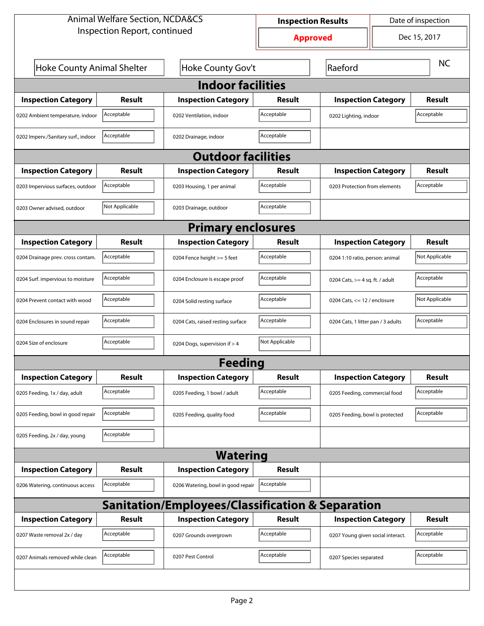| <b>Animal Welfare Section, NCDA&amp;CS</b>       |                |                                    | Date of inspection<br><b>Inspection Results</b> |                                    |                                   |               |  |  |  |
|--------------------------------------------------|----------------|------------------------------------|-------------------------------------------------|------------------------------------|-----------------------------------|---------------|--|--|--|
| Inspection Report, continued                     |                |                                    | <b>Approved</b>                                 |                                    |                                   | Dec 15, 2017  |  |  |  |
| Hoke County Animal Shelter                       |                | Hoke County Gov't                  | Raeford                                         |                                    |                                   | <b>NC</b>     |  |  |  |
| <b>Indoor facilities</b>                         |                |                                    |                                                 |                                    |                                   |               |  |  |  |
| <b>Inspection Category</b>                       | Result         | <b>Inspection Category</b>         | Result                                          | <b>Inspection Category</b>         |                                   | <b>Result</b> |  |  |  |
| 0202 Ambient temperature, indoor                 | Acceptable     | 0202 Ventilation, indoor           | Acceptable                                      | 0202 Lighting, indoor              |                                   | Acceptable    |  |  |  |
| 0202 Imperv./Sanitary surf., indoor              | Acceptable     | 0202 Drainage, indoor              | Acceptable                                      |                                    |                                   |               |  |  |  |
| <b>Outdoor facilities</b>                        |                |                                    |                                                 |                                    |                                   |               |  |  |  |
| <b>Inspection Category</b>                       | Result         | <b>Inspection Category</b>         | Result                                          | <b>Inspection Category</b>         |                                   | <b>Result</b> |  |  |  |
| 0203 Impervious surfaces, outdoor                | Acceptable     | 0203 Housing, 1 per animal         | Acceptable                                      |                                    | 0203 Protection from elements     |               |  |  |  |
| 0203 Owner advised, outdoor                      | Not Applicable | 0203 Drainage, outdoor             | Acceptable                                      |                                    |                                   |               |  |  |  |
| <b>Primary enclosures</b>                        |                |                                    |                                                 |                                    |                                   |               |  |  |  |
| <b>Inspection Category</b>                       | Result         | <b>Inspection Category</b>         | Result                                          | <b>Inspection Category</b>         |                                   | Result        |  |  |  |
| 0204 Drainage prev. cross contam.                | Acceptable     | 0204 Fence height >= 5 feet        | Acceptable                                      |                                    | 0204 1:10 ratio, person: animal   |               |  |  |  |
| 0204 Surf. impervious to moisture                | Acceptable     | 0204 Enclosure is escape proof     | Acceptable                                      |                                    | 0204 Cats, $>=$ 4 sq. ft. / adult |               |  |  |  |
| 0204 Prevent contact with wood                   | Acceptable     | 0204 Solid resting surface         | Acceptable                                      |                                    | 0204 Cats, $\le$ 12 / enclosure   |               |  |  |  |
| 0204 Enclosures in sound repair                  | Acceptable     | 0204 Cats, raised resting surface  | Acceptable                                      | 0204 Cats, 1 litter pan / 3 adults |                                   | Acceptable    |  |  |  |
| 0204 Size of enclosure                           | Acceptable     | 0204 Dogs, supervision if > 4      | Not Applicable                                  |                                    |                                   |               |  |  |  |
|                                                  |                | Feedina                            |                                                 |                                    |                                   |               |  |  |  |
| <b>Inspection Category</b>                       | <b>Result</b>  | <b>Inspection Category</b>         | <b>Result</b>                                   | <b>Inspection Category</b>         |                                   | <b>Result</b> |  |  |  |
| 0205 Feeding, 1x / day, adult                    | Acceptable     | 0205 Feeding, 1 bowl / adult       | Acceptable                                      | 0205 Feeding, commercial food      |                                   | Acceptable    |  |  |  |
| 0205 Feeding, bowl in good repair                | Acceptable     | 0205 Feeding, quality food         | Acceptable                                      | 0205 Feeding, bowl is protected    |                                   | Acceptable    |  |  |  |
| 0205 Feeding, 2x / day, young                    | Acceptable     |                                    |                                                 |                                    |                                   |               |  |  |  |
|                                                  |                | <b>Watering</b>                    |                                                 |                                    |                                   |               |  |  |  |
| <b>Inspection Category</b>                       | <b>Result</b>  | <b>Inspection Category</b>         | <b>Result</b>                                   |                                    |                                   |               |  |  |  |
| 0206 Watering, continuous access                 | Acceptable     | 0206 Watering, bowl in good repair | Acceptable                                      |                                    |                                   |               |  |  |  |
| Sanitation/Employees/Classification & Separation |                |                                    |                                                 |                                    |                                   |               |  |  |  |
| <b>Inspection Category</b>                       | <b>Result</b>  | <b>Inspection Category</b>         | <b>Result</b>                                   | <b>Inspection Category</b>         |                                   | <b>Result</b> |  |  |  |
| 0207 Waste removal 2x / day                      | Acceptable     | 0207 Grounds overgrown             | Acceptable                                      | 0207 Young given social interact.  |                                   | Acceptable    |  |  |  |
| 0207 Animals removed while clean                 | Acceptable     | 0207 Pest Control                  | Acceptable                                      | 0207 Species separated             |                                   | Acceptable    |  |  |  |
|                                                  |                |                                    |                                                 |                                    |                                   |               |  |  |  |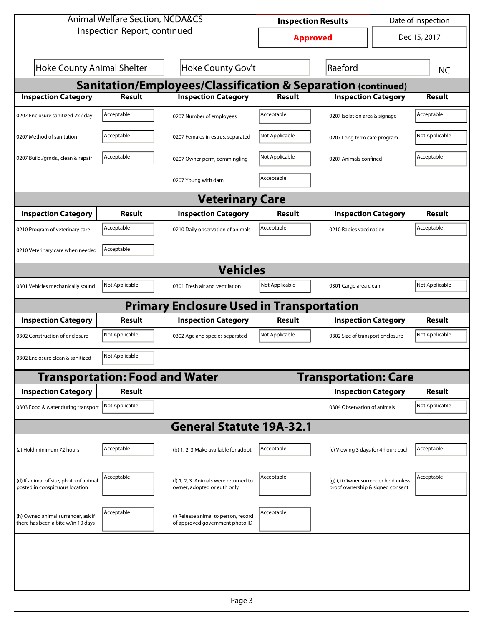| <b>Animal Welfare Section, NCDA&amp;CS</b>                               |                                       |                                                                         | <b>Inspection Results</b> |                                                                           | Date of inspection |                |  |  |  |
|--------------------------------------------------------------------------|---------------------------------------|-------------------------------------------------------------------------|---------------------------|---------------------------------------------------------------------------|--------------------|----------------|--|--|--|
| Inspection Report, continued                                             |                                       | <b>Approved</b>                                                         |                           | Dec 15, 2017                                                              |                    |                |  |  |  |
| <b>Hoke County Animal Shelter</b>                                        |                                       | Hoke County Gov't                                                       |                           | Raeford                                                                   |                    | <b>NC</b>      |  |  |  |
| <b>Sanitation/Employees/Classification &amp; Separation (continued)</b>  |                                       |                                                                         |                           |                                                                           |                    |                |  |  |  |
| <b>Inspection Category</b>                                               | <b>Result</b>                         | <b>Inspection Category</b>                                              | <b>Result</b>             | <b>Inspection Category</b>                                                |                    | <b>Result</b>  |  |  |  |
| 0207 Enclosure sanitized 2x / day                                        | Acceptable                            | 0207 Number of employees                                                | Acceptable                | 0207 Isolation area & signage                                             |                    | Acceptable     |  |  |  |
| 0207 Method of sanitation                                                | Acceptable                            | 0207 Females in estrus, separated                                       | Not Applicable            | 0207 Long term care program                                               |                    | Not Applicable |  |  |  |
| 0207 Build./grnds., clean & repair                                       | Acceptable                            | 0207 Owner perm, commingling                                            | Not Applicable            | 0207 Animals confined                                                     |                    | Acceptable     |  |  |  |
|                                                                          |                                       | 0207 Young with dam                                                     | Acceptable                |                                                                           |                    |                |  |  |  |
| <b>Veterinary Care</b>                                                   |                                       |                                                                         |                           |                                                                           |                    |                |  |  |  |
| <b>Inspection Category</b>                                               | Result                                | <b>Inspection Category</b>                                              | <b>Result</b>             | <b>Inspection Category</b>                                                |                    | <b>Result</b>  |  |  |  |
| 0210 Program of veterinary care                                          | Acceptable                            | 0210 Daily observation of animals                                       | Acceptable                | 0210 Rabies vaccination                                                   |                    | Acceptable     |  |  |  |
| 0210 Veterinary care when needed                                         | Acceptable                            |                                                                         |                           |                                                                           |                    |                |  |  |  |
| <b>Vehicles</b>                                                          |                                       |                                                                         |                           |                                                                           |                    |                |  |  |  |
| 0301 Vehicles mechanically sound                                         | Not Applicable                        | 0301 Fresh air and ventilation                                          | Not Applicable            | 0301 Cargo area clean                                                     |                    | Not Applicable |  |  |  |
|                                                                          |                                       | <b>Primary Enclosure Used in Transportation</b>                         |                           |                                                                           |                    |                |  |  |  |
| <b>Inspection Category</b>                                               | Result                                | <b>Inspection Category</b>                                              | Result                    | <b>Inspection Category</b>                                                |                    | <b>Result</b>  |  |  |  |
| 0302 Construction of enclosure                                           | Not Applicable                        | 0302 Age and species separated                                          | Not Applicable            | 0302 Size of transport enclosure                                          |                    | Not Applicable |  |  |  |
| 0302 Enclosure clean & sanitized                                         | Not Applicable                        |                                                                         |                           |                                                                           |                    |                |  |  |  |
|                                                                          | <b>Transportation: Food and Water</b> |                                                                         |                           | <b>Transportation: Care</b>                                               |                    |                |  |  |  |
| <b>Inspection Category</b>                                               | <b>Result</b>                         |                                                                         |                           | <b>Inspection Category</b>                                                |                    | <b>Result</b>  |  |  |  |
| 0303 Food & water during transport                                       | Not Applicable                        |                                                                         |                           | 0304 Observation of animals                                               |                    | Not Applicable |  |  |  |
| <b>General Statute 19A-32.1</b>                                          |                                       |                                                                         |                           |                                                                           |                    |                |  |  |  |
| (a) Hold minimum 72 hours                                                | Acceptable                            | (b) 1, 2, 3 Make available for adopt.                                   | Acceptable                | (c) Viewing 3 days for 4 hours each                                       |                    | Acceptable     |  |  |  |
| (d) If animal offsite, photo of animal<br>posted in conspicuous location | Acceptable                            | (f) 1, 2, 3 Animals were returned to<br>owner, adopted or euth only     | Acceptable                | (g) i, ii Owner surrender held unless<br>proof ownership & signed consent |                    | Acceptable     |  |  |  |
| (h) Owned animal surrender, ask if<br>there has been a bite w/in 10 days | Acceptable                            | (i) Release animal to person, record<br>of approved government photo ID | Acceptable                |                                                                           |                    |                |  |  |  |
|                                                                          |                                       |                                                                         |                           |                                                                           |                    |                |  |  |  |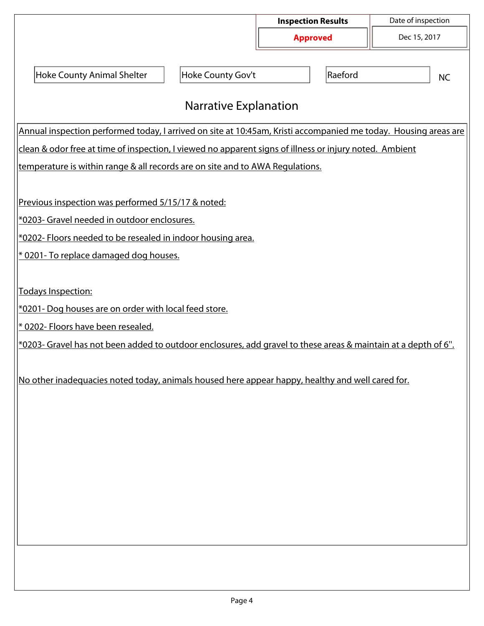|                                                                                                                 |                       | <b>Inspection Results</b><br><b>Approved</b> |         | Date of inspection<br>Dec 15, 2017 |  |  |  |  |
|-----------------------------------------------------------------------------------------------------------------|-----------------------|----------------------------------------------|---------|------------------------------------|--|--|--|--|
|                                                                                                                 |                       |                                              |         |                                    |  |  |  |  |
|                                                                                                                 |                       |                                              |         |                                    |  |  |  |  |
| <b>Hoke County Animal Shelter</b>                                                                               | Hoke County Gov't     |                                              | Raeford | <b>NC</b>                          |  |  |  |  |
|                                                                                                                 | Narrative Explanation |                                              |         |                                    |  |  |  |  |
|                                                                                                                 |                       |                                              |         |                                    |  |  |  |  |
| Annual inspection performed today, I arrived on site at 10:45am, Kristi accompanied me today. Housing areas are |                       |                                              |         |                                    |  |  |  |  |
| clean & odor free at time of inspection, I viewed no apparent signs of illness or injury noted. Ambient         |                       |                                              |         |                                    |  |  |  |  |
| temperature is within range & all records are on site and to AWA Regulations.                                   |                       |                                              |         |                                    |  |  |  |  |
| Previous inspection was performed 5/15/17 & noted:                                                              |                       |                                              |         |                                    |  |  |  |  |
| *0203- Gravel needed in outdoor enclosures.                                                                     |                       |                                              |         |                                    |  |  |  |  |
| *0202- Floors needed to be resealed in indoor housing area.                                                     |                       |                                              |         |                                    |  |  |  |  |
| * 0201- To replace damaged dog houses.                                                                          |                       |                                              |         |                                    |  |  |  |  |
|                                                                                                                 |                       |                                              |         |                                    |  |  |  |  |
| Todays Inspection:                                                                                              |                       |                                              |         |                                    |  |  |  |  |
| *0201- Dog houses are on order with local feed store.                                                           |                       |                                              |         |                                    |  |  |  |  |
| * 0202- Floors have been resealed.                                                                              |                       |                                              |         |                                    |  |  |  |  |
| *0203- Gravel has not been added to outdoor enclosures, add gravel to these areas & maintain at a depth of 6".  |                       |                                              |         |                                    |  |  |  |  |
|                                                                                                                 |                       |                                              |         |                                    |  |  |  |  |
| No other inadequacies noted today, animals housed here appear happy, healthy and well cared for.                |                       |                                              |         |                                    |  |  |  |  |
|                                                                                                                 |                       |                                              |         |                                    |  |  |  |  |
|                                                                                                                 |                       |                                              |         |                                    |  |  |  |  |
|                                                                                                                 |                       |                                              |         |                                    |  |  |  |  |
|                                                                                                                 |                       |                                              |         |                                    |  |  |  |  |
|                                                                                                                 |                       |                                              |         |                                    |  |  |  |  |
|                                                                                                                 |                       |                                              |         |                                    |  |  |  |  |
|                                                                                                                 |                       |                                              |         |                                    |  |  |  |  |
|                                                                                                                 |                       |                                              |         |                                    |  |  |  |  |
|                                                                                                                 |                       |                                              |         |                                    |  |  |  |  |
|                                                                                                                 |                       |                                              |         |                                    |  |  |  |  |
|                                                                                                                 |                       |                                              |         |                                    |  |  |  |  |